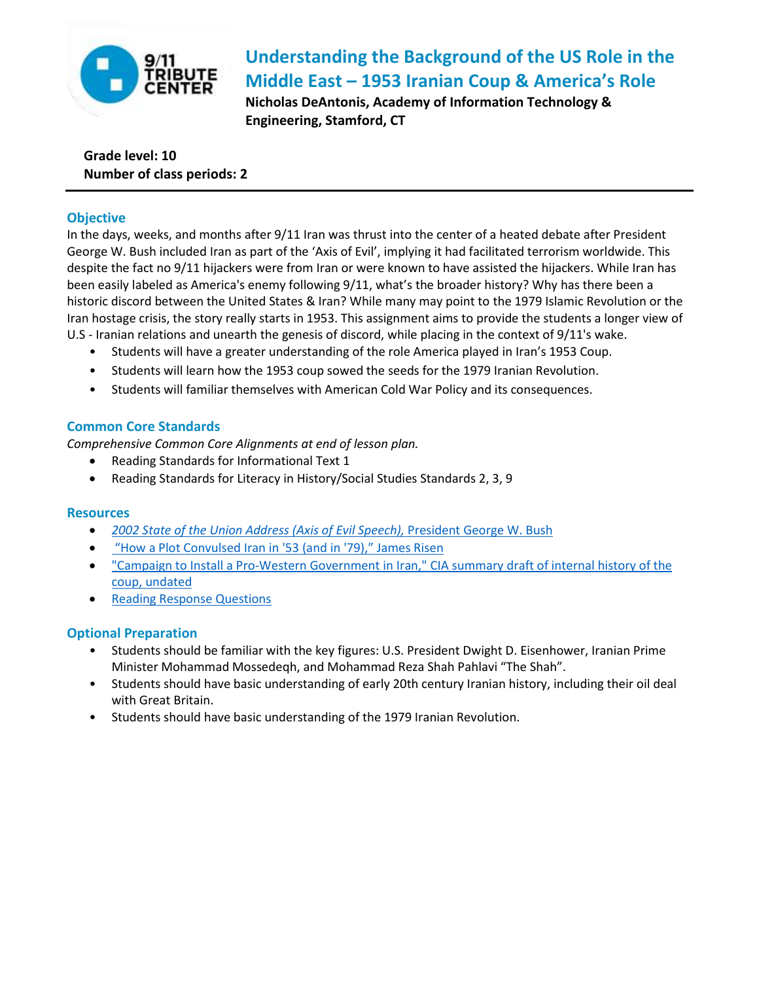

# **Understanding the Background of the US Role in the Middle East – 1953 Iranian Coup & America's Role**

**Nicholas DeAntonis, Academy of Information Technology & Engineering, Stamford, CT** 

# **Grade level: 10 Number of class periods: 2**

# **Objective**

In the days, weeks, and months after 9/11 Iran was thrust into the center of a heated debate after President George W. Bush included Iran as part of the 'Axis of Evil', implying it had facilitated terrorism worldwide. This despite the fact no 9/11 hijackers were from Iran or were known to have assisted the hijackers. While Iran has been easily labeled as America's enemy following 9/11, what's the broader history? Why has there been a historic discord between the United States & Iran? While many may point to the 1979 Islamic Revolution or the Iran hostage crisis, the story really starts in 1953. This assignment aims to provide the students a longer view of U.S - Iranian relations and unearth the genesis of discord, while placing in the context of 9/11's wake.

- Students will have a greater understanding of the role America played in Iran's 1953 Coup.
- Students will learn how the 1953 coup sowed the seeds for the 1979 Iranian Revolution.
- Students will familiar themselves with American Cold War Policy and its consequences.

# **Common Core Standards**

*Comprehensive Common Core Alignments at end of lesson plan.*

- Reading Standards for Informational Text 1
- Reading Standards for Literacy in History/Social Studies Standards 2, 3, 9

## **Resources**

- *[2002 State of the Union Address \(Axis of Evil Speech\),](https://www.youtube.com/watch?v=VAALGqKPaT4)* President George W. Bush
- ["How a Plot Convulsed Iran in '53 \(and in '79\)," James Risen](http://www.nytimes.com/library/world/mideast/041600iran-cia-intro.html)
- ["Campaign to Install a Pro-Western Government in Iran," CIA summary draft of internal history of the](http://www2.gwu.edu/~nsarchiv/NSAEBB/NSAEBB435/)  [coup, undated](http://www2.gwu.edu/~nsarchiv/NSAEBB/NSAEBB435/)
- **[Reading Response Questions](http://teaching911.tributewtc.org/content/uploads/2014/07/America-and-the-Modern-Middle-East-HANDOUT.pdf)**

## **Optional Preparation**

- Students should be familiar with the key figures: U.S. President Dwight D. Eisenhower, Iranian Prime Minister Mohammad Mossedeqh, and Mohammad Reza Shah Pahlavi "The Shah".
- Students should have basic understanding of early 20th century Iranian history, including their oil deal with Great Britain.
- Students should have basic understanding of the 1979 Iranian Revolution.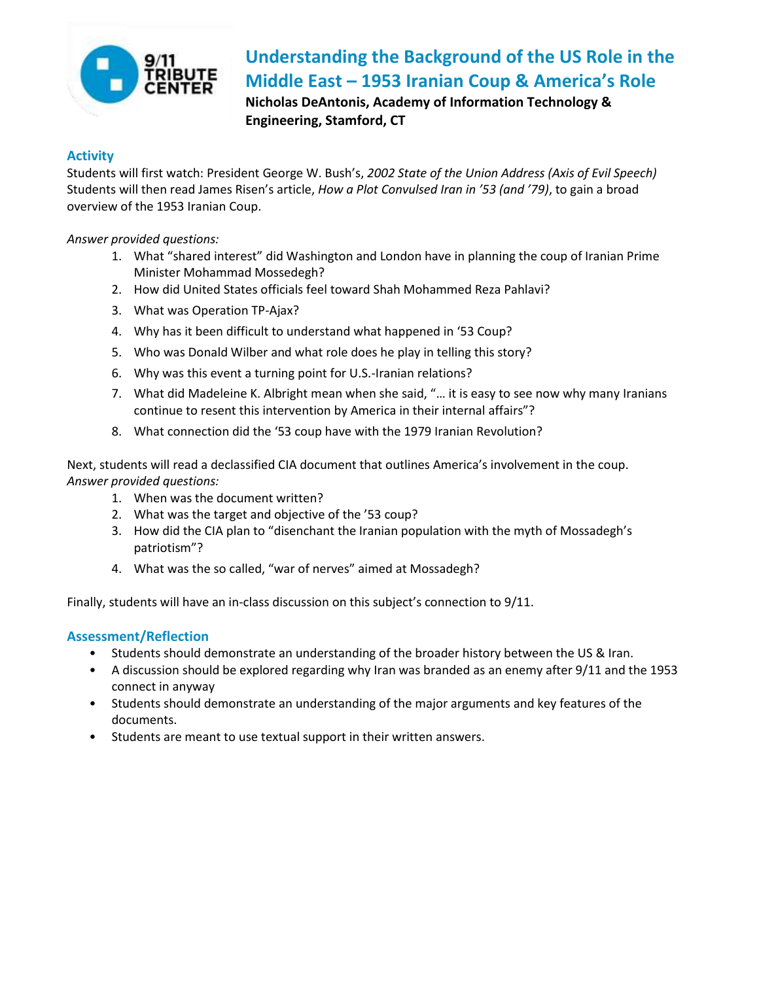

# **Understanding the Background of the US Role in the Middle East – 1953 Iranian Coup & America's Role**

**Nicholas DeAntonis, Academy of Information Technology & Engineering, Stamford, CT** 

## **Activity**

Students will first watch: President George W. Bush's, *2002 State of the Union Address (Axis of Evil Speech)* Students will then read James Risen's article, *How a Plot Convulsed Iran in '53 (and '79)*, to gain a broad overview of the 1953 Iranian Coup.

*Answer provided questions:*

- 1. What "shared interest" did Washington and London have in planning the coup of Iranian Prime Minister Mohammad Mossedegh?
- 2. How did United States officials feel toward Shah Mohammed Reza Pahlavi?
- 3. What was Operation TP-Ajax?
- 4. Why has it been difficult to understand what happened in '53 Coup?
- 5. Who was Donald Wilber and what role does he play in telling this story?
- 6. Why was this event a turning point for U.S.-Iranian relations?
- 7. What did Madeleine K. Albright mean when she said, "… it is easy to see now why many Iranians continue to resent this intervention by America in their internal affairs"?
- 8. What connection did the '53 coup have with the 1979 Iranian Revolution?

Next, students will read a declassified CIA document that outlines America's involvement in the coup. *Answer provided questions:*

- 1. When was the document written?
- 2. What was the target and objective of the '53 coup?
- 3. How did the CIA plan to "disenchant the Iranian population with the myth of Mossadegh's patriotism"?
- 4. What was the so called, "war of nerves" aimed at Mossadegh?

Finally, students will have an in-class discussion on this subject's connection to 9/11.

## **Assessment/Reflection**

- Students should demonstrate an understanding of the broader history between the US & Iran.
- A discussion should be explored regarding why Iran was branded as an enemy after 9/11 and the 1953 connect in anyway
- Students should demonstrate an understanding of the major arguments and key features of the documents.
- Students are meant to use textual support in their written answers.